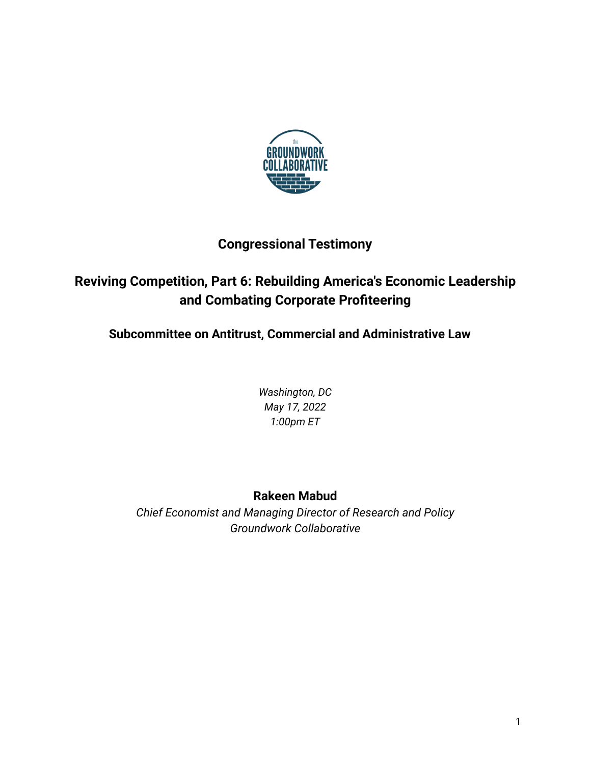

# **Congressional Testimony**

# **Reviving Competition, Part 6: Rebuilding America's Economic Leadership and Combating Corporate Profiteering**

**Subcommittee on Antitrust, Commercial and Administrative Law**

*Washington, DC May 17, 2022 1:00pm ET*

# **Rakeen Mabud**

*Chief Economist and Managing Director of Research and Policy Groundwork Collaborative*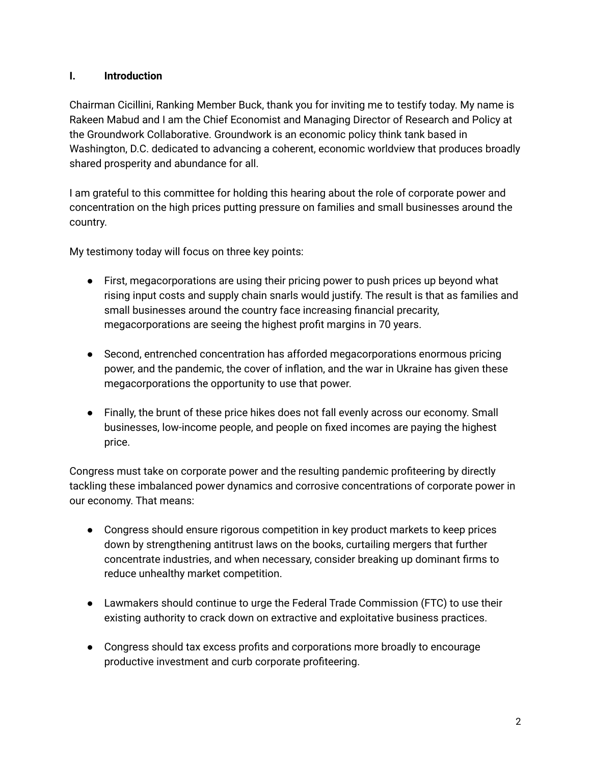#### **I. Introduction**

Chairman Cicillini, Ranking Member Buck, thank you for inviting me to testify today. My name is Rakeen Mabud and I am the Chief Economist and Managing Director of Research and Policy at the Groundwork Collaborative. Groundwork is an economic policy think tank based in Washington, D.C. dedicated to advancing a coherent, economic worldview that produces broadly shared prosperity and abundance for all.

I am grateful to this committee for holding this hearing about the role of corporate power and concentration on the high prices putting pressure on families and small businesses around the country.

My testimony today will focus on three key points:

- First, megacorporations are using their pricing power to push prices up beyond what rising input costs and supply chain snarls would justify. The result is that as families and small businesses around the country face increasing financial precarity, megacorporations are seeing the highest profit margins in 70 years.
- Second, entrenched concentration has afforded megacorporations enormous pricing power, and the pandemic, the cover of inflation, and the war in Ukraine has given these megacorporations the opportunity to use that power.
- Finally, the brunt of these price hikes does not fall evenly across our economy. Small businesses, low-income people, and people on fixed incomes are paying the highest price.

Congress must take on corporate power and the resulting pandemic profiteering by directly tackling these imbalanced power dynamics and corrosive concentrations of corporate power in our economy. That means:

- Congress should ensure rigorous competition in key product markets to keep prices down by strengthening antitrust laws on the books, curtailing mergers that further concentrate industries, and when necessary, consider breaking up dominant firms to reduce unhealthy market competition.
- Lawmakers should continue to urge the Federal Trade Commission (FTC) to use their existing authority to crack down on extractive and exploitative business practices.
- Congress should tax excess profits and corporations more broadly to encourage productive investment and curb corporate profiteering.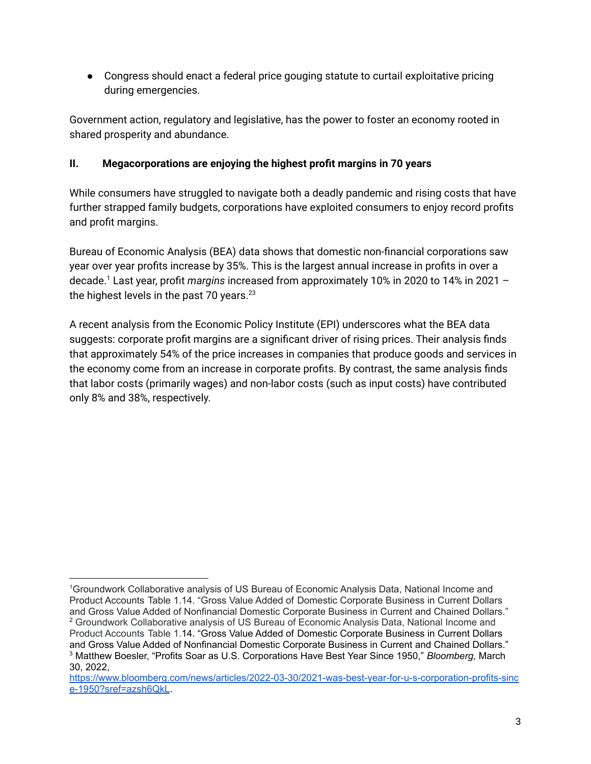● Congress should enact a federal price gouging statute to curtail exploitative pricing during emergencies.

Government action, regulatory and legislative, has the power to foster an economy rooted in shared prosperity and abundance.

# **II. Megacorporations are enjoying the highest profit margins in 70 years**

While consumers have struggled to navigate both a deadly pandemic and rising costs that have further strapped family budgets, corporations have exploited consumers to enjoy record profits and profit margins.

Bureau of Economic Analysis (BEA) data shows that domestic non-financial corporations saw year over year profits increase by 35%. This is the largest annual increase in profits in over a decade. <sup>1</sup> Last year, profit *margins* increased from approximately 10% in 2020 to 14% in 2021 – the highest levels in the past 70 years. 23

A recent analysis from the Economic Policy Institute (EPI) underscores what the BEA data suggests: corporate profit margins are a significant driver of rising prices. Their analysis finds that approximately 54% of the price increases in companies that produce goods and services in the economy come from an increase in corporate profits. By contrast, the same analysis finds that labor costs (primarily wages) and non-labor costs (such as input costs) have contributed only 8% and 38%, respectively.

<sup>3</sup> Matthew Boesler, "Profits Soar as U.S. Corporations Have Best Year Since 1950," *Bloomberg,* March 30, 2022, <sup>2</sup> Groundwork Collaborative analysis of US Bureau of Economic Analysis Data, National Income and Product Accounts Table 1.14. "Gross Value Added of Domestic Corporate Business in Current Dollars and Gross Value Added of Nonfinancial Domestic Corporate Business in Current and Chained Dollars." <sup>1</sup>Groundwork Collaborative analysis of US Bureau of Economic Analysis Data, National Income and Product Accounts Table 1.14. "Gross Value Added of Domestic Corporate Business in Current Dollars and Gross Value Added of Nonfinancial Domestic Corporate Business in Current and Chained Dollars."

[https://www.bloomberg.com/news/articles/2022-03-30/2021-was-best-year-for-u-s-corporation-profits-sinc](https://www.bloomberg.com/news/articles/2022-03-30/2021-was-best-year-for-u-s-corporation-profits-since-1950?sref=azsh6QkL) [e-1950?sref=azsh6QkL](https://www.bloomberg.com/news/articles/2022-03-30/2021-was-best-year-for-u-s-corporation-profits-since-1950?sref=azsh6QkL).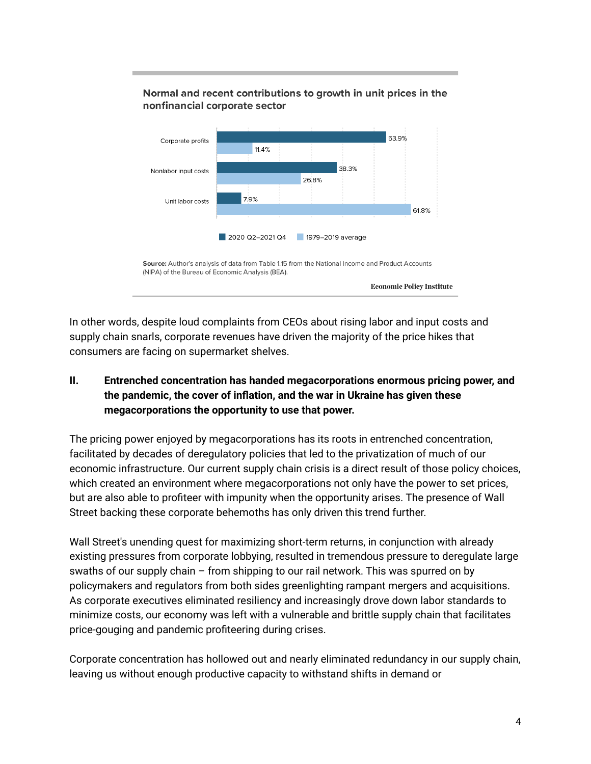

Normal and recent contributions to growth in unit prices in the

In other words, despite loud complaints from CEOs about rising labor and input costs and supply chain snarls, corporate revenues have driven the majority of the price hikes that consumers are facing on supermarket shelves.

# **II. Entrenched concentration has handed megacorporations enormous pricing power, and the pandemic, the cover of inflation, and the war in Ukraine has given these megacorporations the opportunity to use that power.**

The pricing power enjoyed by megacorporations has its roots in entrenched concentration, facilitated by decades of deregulatory policies that led to the privatization of much of our economic infrastructure. Our current supply chain crisis is a direct result of those policy choices, which created an environment where megacorporations not only have the power to set prices, but are also able to profiteer with impunity when the opportunity arises. The presence of Wall Street backing these corporate behemoths has only driven this trend further.

Wall Street's unending quest for maximizing short-term returns, in conjunction with already existing pressures from corporate lobbying, resulted in tremendous pressure to deregulate large swaths of our supply chain – from shipping to our rail network. This was spurred on by policymakers and regulators from both sides greenlighting rampant mergers and acquisitions. As corporate executives eliminated resiliency and increasingly drove down labor standards to minimize costs, our economy was left with a vulnerable and brittle supply chain that facilitates price-gouging and pandemic profiteering during crises.

Corporate concentration has hollowed out and nearly eliminated redundancy in our supply chain, leaving us without enough productive capacity to withstand shifts in demand or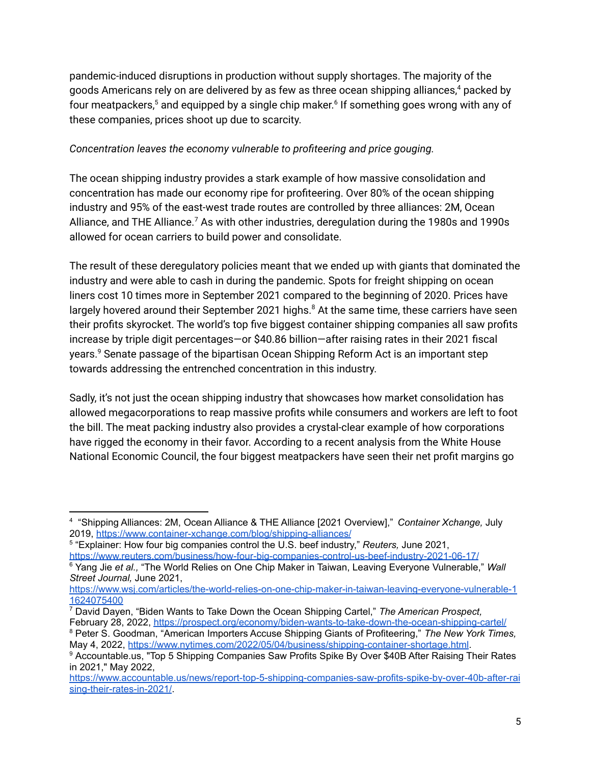pandemic-induced disruptions in production without supply shortages. The majority of the goods Americans rely on are delivered by as few as three ocean shipping alliances, <sup>4</sup> packed by four meatpackers, <sup>5</sup> and equipped by a single chip maker. 6 If something goes wrong with any of these companies, prices shoot up due to scarcity.

#### *Concentration leaves the economy vulnerable to profiteering and price gouging.*

The ocean shipping industry provides a stark example of how massive consolidation and concentration has made our economy ripe for profiteering. Over 80% of the ocean shipping industry and 95% of the east-west trade routes are controlled by three alliances: 2M, Ocean Alliance, and THE Alliance.<sup>7</sup> As with other industries, deregulation during the 1980s and 1990s allowed for ocean carriers to build power and consolidate.

The result of these deregulatory policies meant that we ended up with giants that dominated the industry and were able to cash in during the pandemic. Spots for freight shipping on ocean liners cost 10 times more in September 2021 compared to the beginning of 2020. Prices have largely hovered around their September 2021 highs.<sup>8</sup> At the same time, these carriers have seen their profits skyrocket. The world's top five biggest container shipping companies all saw profits increase by triple digit percentages—or \$40.86 billion—after raising rates in their 2021 fiscal years. <sup>9</sup> Senate passage of the bipartisan Ocean Shipping Reform Act is an important step towards addressing the entrenched concentration in this industry.

Sadly, it's not just the ocean shipping industry that showcases how market consolidation has allowed megacorporations to reap massive profits while consumers and workers are left to foot the bill. The meat packing industry also provides a crystal-clear example of how corporations have rigged the economy in their favor. According to a recent analysis from the White House National Economic Council, the four biggest meatpackers have seen their net profit margins go

<sup>4</sup> "Shipping Alliances: 2M, Ocean Alliance & THE Alliance [2021 Overview]," *Container Xchange,* July 2019, <https://www.container-xchange.com/blog/shipping-alliances/>

<sup>5</sup> "Explainer: How four big companies control the U.S. beef industry," *Reuters,* June 2021, <https://www.reuters.com/business/how-four-big-companies-control-us-beef-industry-2021-06-17/>

<sup>6</sup> Yang Jie *et al.,* "The World Relies on One Chip Maker in Taiwan, Leaving Everyone Vulnerable," *Wall Street Journal,* June 2021,

[https://www.wsj.com/articles/the-world-relies-on-one-chip-maker-in-taiwan-leaving-everyone-vulnerable-1](https://www.wsj.com/articles/the-world-relies-on-one-chip-maker-in-taiwan-leaving-everyone-vulnerable-11624075400) [1624075400](https://www.wsj.com/articles/the-world-relies-on-one-chip-maker-in-taiwan-leaving-everyone-vulnerable-11624075400)

<sup>7</sup> David Dayen, "Biden Wants to Take Down the Ocean Shipping Cartel," *The American Prospect,*

<sup>8</sup> Peter S. Goodman, "American Importers Accuse Shipping Giants of Profiteering," *The New York Times,* May 4, 2022, [https://www.nytimes.com/2022/05/04/business/shipping-container-shortage.html.](https://www.nytimes.com/2022/05/04/business/shipping-container-shortage.html) February 28, 2022, <https://prospect.org/economy/biden-wants-to-take-down-the-ocean-shipping-cartel/>

<sup>9</sup> Accountable.us, "Top 5 Shipping Companies Saw Profits Spike By Over \$40B After Raising Their Rates in 2021," May 2022,

[https://www.accountable.us/news/report-top-5-shipping-companies-saw-profits-spike-by-over-40b-after-rai](https://www.accountable.us/news/report-top-5-shipping-companies-saw-profits-spike-by-over-40b-after-raising-their-rates-in-2021/) [sing-their-rates-in-2021/](https://www.accountable.us/news/report-top-5-shipping-companies-saw-profits-spike-by-over-40b-after-raising-their-rates-in-2021/)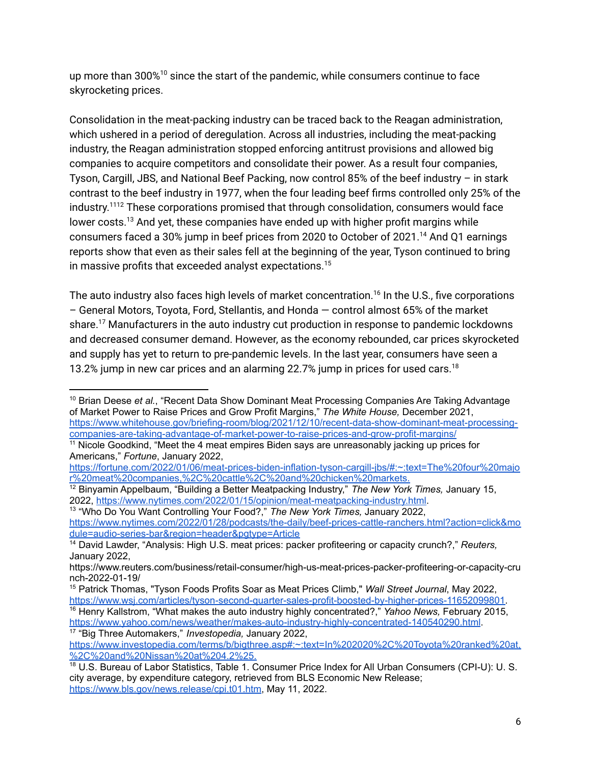up more than 300% $^{10}$  since the start of the pandemic, while consumers continue to face skyrocketing prices.

Consolidation in the meat-packing industry can be traced back to the Reagan administration, which ushered in a period of deregulation. Across all industries, including the meat-packing industry, the Reagan administration stopped enforcing antitrust provisions and allowed big companies to acquire competitors and consolidate their power. As a result four companies, Tyson, Cargill, JBS, and National Beef Packing, now control 85% of the beef industry – in stark contrast to the beef industry in 1977, when the four leading beef firms controlled only 25% of the industry. <sup>1112</sup> These corporations promised that through consolidation, consumers would face lower costs. <sup>13</sup> And yet, these companies have ended up with higher profit margins while consumers faced a 30% jump in beef prices from 2020 to October of 2021. <sup>14</sup> And Q1 earnings reports show that even as their sales fell at the beginning of the year, Tyson continued to bring in massive profits that exceeded analyst expectations. 15

The auto industry also faces high levels of market concentration.<sup>16</sup> In the U.S., five corporations – General Motors, Toyota, Ford, Stellantis, and Honda — control almost 65% of the market share. <sup>17</sup> Manufacturers in the auto industry cut production in response to pandemic lockdowns and decreased consumer demand. However, as the economy rebounded, car prices skyrocketed and supply has yet to return to pre-pandemic levels. In the last year, consumers have seen a 13.2% jump in new car prices and an alarming 22.7% jump in prices for used cars.<sup>18</sup>

13 "Who Do You Want Controlling Your Food?," *The New York Times,* January 2022, [https://www.nytimes.com/2022/01/28/podcasts/the-daily/beef-prices-cattle-ranchers.html?action=click&mo](https://www.nytimes.com/2022/01/28/podcasts/the-daily/beef-prices-cattle-ranchers.html?action=click&module=audio-series-bar®ion=header&pgtype=Article) [dule=audio-series-bar&region=header&pgtype=Article](https://www.nytimes.com/2022/01/28/podcasts/the-daily/beef-prices-cattle-ranchers.html?action=click&module=audio-series-bar®ion=header&pgtype=Article)

17 "Big Three Automakers," *Investopedia,* January 2022, <https://www.yahoo.com/news/weather/makes-auto-industry-highly-concentrated-140540290.html>.

<sup>10</sup> Brian Deese *et al.*, "Recent Data Show Dominant Meat Processing Companies Are Taking Advantage of Market Power to Raise Prices and Grow Profit Margins," *The White House,* December 2021, [https://www.whitehouse.gov/briefing-room/blog/2021/12/10/recent-data-show-dominant-meat-processing](https://www.whitehouse.gov/briefing-room/blog/2021/12/10/recent-data-show-dominant-meat-processing-companies-are-taking-advantage-of-market-power-to-raise-prices-and-grow-profit-margins/)[companies-are-taking-advantage-of-market-power-to-raise-prices-and-grow-profit-margins/](https://www.whitehouse.gov/briefing-room/blog/2021/12/10/recent-data-show-dominant-meat-processing-companies-are-taking-advantage-of-market-power-to-raise-prices-and-grow-profit-margins/)

<sup>&</sup>lt;sup>11</sup> Nicole Goodkind, "Meet the 4 meat empires Biden says are unreasonably jacking up prices for Americans," *Fortune*, January 2022,

[https://fortune.com/2022/01/06/meat-prices-biden-inflation-tyson-cargill-jbs/#:~:text=The%20four%20majo](https://fortune.com/2022/01/06/meat-prices-biden-inflation-tyson-cargill-jbs/#:~:text=The%20four%20major%20meat%20companies,%2C%20cattle%2C%20and%20chicken%20markets.) [r%20meat%20companies,%2C%20cattle%2C%20and%20chicken%20markets.](https://fortune.com/2022/01/06/meat-prices-biden-inflation-tyson-cargill-jbs/#:~:text=The%20four%20major%20meat%20companies,%2C%20cattle%2C%20and%20chicken%20markets.)

<sup>12</sup> Binyamin Appelbaum, "Building a Better Meatpacking Industry," *The New York Times,* January 15, 2022, [https://www.nytimes.com/2022/01/15/opinion/meat-meatpacking-industry.html.](https://www.nytimes.com/2022/01/15/opinion/meat-meatpacking-industry.html)

<sup>14</sup> David Lawder, "Analysis: High U.S. meat prices: packer profiteering or capacity crunch?," *Reuters,* January 2022,

https://www.reuters.com/business/retail-consumer/high-us-meat-prices-packer-profiteering-or-capacity-cru nch-2022-01-19/

<sup>16</sup> Henry Kallstrom, "What makes the auto industry highly concentrated?," *Yahoo News,* February 2015, <sup>15</sup> Patrick Thomas, "Tyson Foods Profits Soar as Meat Prices Climb," *Wall Street Journal*, May 2022, [https://www.wsj.com/articles/tyson-second-quarter-sales-profit-boosted-by-higher-prices-11652099801.](https://www.wsj.com/articles/tyson-second-quarter-sales-profit-boosted-by-higher-prices-11652099801)

[https://www.investopedia.com/terms/b/bigthree.asp#:~:text=In%202020%2C%20Toyota%20ranked%20at,](https://www.investopedia.com/terms/b/bigthree.asp#:~:text=In%202020%2C%20Toyota%20ranked%20at,%2C%20and%20Nissan%20at%204.2%25.) [%2C%20and%20Nissan%20at%204.2%25.](https://www.investopedia.com/terms/b/bigthree.asp#:~:text=In%202020%2C%20Toyota%20ranked%20at,%2C%20and%20Nissan%20at%204.2%25.)

<sup>&</sup>lt;sup>18</sup> U.S. Bureau of Labor Statistics, Table 1. Consumer Price Index for All Urban Consumers (CPI-U): U.S. city average, by expenditure category, retrieved from BLS Economic New Release; [https://www.bls.gov/news.release/cpi.t01.htm,](https://www.bls.gov/news.release/cpi.t01.htm) May 11, 2022.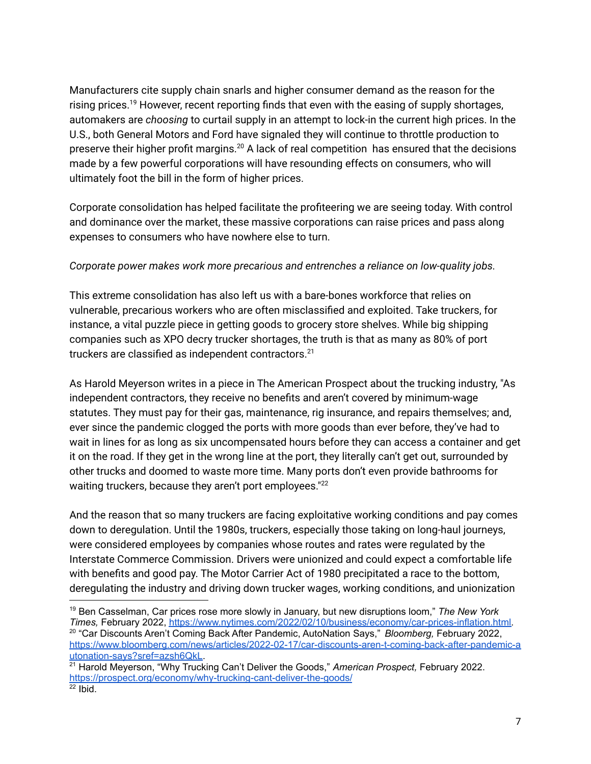Manufacturers cite supply chain snarls and higher consumer demand as the reason for the rising prices.<sup>19</sup> However, recent reporting finds that even with the easing of supply shortages, automakers are *choosing* to curtail supply in an attempt to lock-in the current high prices. In the U.S., both General Motors and Ford have signaled they will continue to throttle production to preserve their higher profit margins.<sup>20</sup> A lack of real competition has ensured that the decisions made by a few powerful corporations will have resounding effects on consumers, who will ultimately foot the bill in the form of higher prices.

Corporate consolidation has helped facilitate the profiteering we are seeing today. With control and dominance over the market, these massive corporations can raise prices and pass along expenses to consumers who have nowhere else to turn.

#### *Corporate power makes work more precarious and entrenches a reliance on low-quality jobs.*

This extreme consolidation has also left us with a bare-bones workforce that relies on vulnerable, precarious workers who are often misclassified and exploited. Take truckers, for instance, a vital puzzle piece in getting goods to grocery store shelves. While big shipping companies such as XPO decry trucker shortages, the truth is that as many as 80% of port truckers are classified as independent contractors. 21

As Harold Meyerson writes in a piece in The American Prospect about the trucking industry, "As independent contractors, they receive no benefits and aren't covered by minimum-wage statutes. They must pay for their gas, maintenance, rig insurance, and repairs themselves; and, ever since the pandemic clogged the ports with more goods than ever before, they've had to wait in lines for as long as six uncompensated hours before they can access a container and get it on the road. If they get in the wrong line at the port, they literally can't get out, surrounded by other trucks and doomed to waste more time. Many ports don't even provide bathrooms for waiting truckers, because they aren't port employees."<sup>22</sup>

And the reason that so many truckers are facing exploitative working conditions and pay comes down to deregulation. Until the 1980s, truckers, especially those taking on long-haul journeys, were considered employees by companies whose routes and rates were regulated by the Interstate Commerce Commission. Drivers were unionized and could expect a comfortable life with benefits and good pay. The Motor Carrier Act of 1980 precipitated a race to the bottom, deregulating the industry and driving down trucker wages, working conditions, and unionization

<sup>20</sup> "Car Discounts Aren't Coming Back After Pandemic, AutoNation Says," *Bloomberg,* February 2022, [https://www.bloomberg.com/news/articles/2022-02-17/car-discounts-aren-t-coming-back-after-pandemic-a](https://www.bloomberg.com/news/articles/2022-02-17/car-discounts-aren-t-coming-back-after-pandemic-autonation-says?sref=azsh6QkL) [utonation-says?sref=azsh6QkL](https://www.bloomberg.com/news/articles/2022-02-17/car-discounts-aren-t-coming-back-after-pandemic-autonation-says?sref=azsh6QkL). <sup>19</sup> Ben Casselman, Car prices rose more slowly in January, but new disruptions loom," *The New York Times,* February 2022, [https://www.nytimes.com/2022/02/10/business/economy/car-prices-inflation.html.](https://www.nytimes.com/2022/02/10/business/economy/car-prices-inflation.html)

 $22$  Ibid. <sup>21</sup> Harold Meyerson, "Why Trucking Can't Deliver the Goods," *American Prospect,* February 2022. <https://prospect.org/economy/why-trucking-cant-deliver-the-goods/>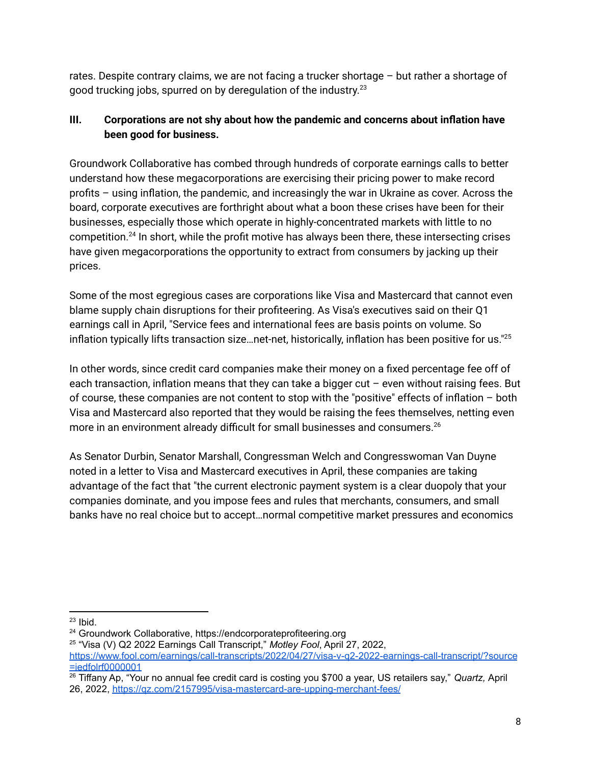rates. Despite contrary claims, we are not facing a trucker shortage – but rather a shortage of good trucking jobs, spurred on by deregulation of the industry.<sup>23</sup>

# **III. Corporations are not shy about how the pandemic and concerns about inflation have been good for business.**

Groundwork Collaborative has combed through hundreds of corporate earnings calls to better understand how these megacorporations are exercising their pricing power to make record profits – using inflation, the pandemic, and increasingly the war in Ukraine as cover. Across the board, corporate executives are forthright about what a boon these crises have been for their businesses, especially those which operate in highly-concentrated markets with little to no competition.<sup>24</sup> In short, while the profit motive has always been there, these intersecting crises have given megacorporations the opportunity to extract from consumers by jacking up their prices.

Some of the most egregious cases are corporations like Visa and Mastercard that cannot even blame supply chain disruptions for their profiteering. As Visa's executives said on their Q1 earnings call in April, "Service fees and international fees are basis points on volume. So inflation typically lifts transaction size...net-net, historically, inflation has been positive for us." $^{25}$ 

In other words, since credit card companies make their money on a fixed percentage fee off of each transaction, inflation means that they can take a bigger cut – even without raising fees. But of course, these companies are not content to stop with the "positive" effects of inflation – both Visa and Mastercard also reported that they would be raising the fees themselves, netting even more in an environment already difficult for small businesses and consumers.<sup>26</sup>

As Senator Durbin, Senator Marshall, Congressman Welch and Congresswoman Van Duyne noted in a letter to Visa and Mastercard executives in April, these companies are taking advantage of the fact that "the current electronic payment system is a clear duopoly that your companies dominate, and you impose fees and rules that merchants, consumers, and small banks have no real choice but to accept…normal competitive market pressures and economics

 $23$  Ibid.

<sup>24</sup> Groundwork Collaborative, https://endcorporateprofiteering.org

<sup>25</sup> "Visa (V) Q2 2022 Earnings Call Transcript," *Motley Fool*, April 27, 2022,

[https://www.fool.com/earnings/call-transcripts/2022/04/27/visa-v-q2-2022-earnings-call-transcript/?source](https://www.fool.com/earnings/call-transcripts/2022/04/27/visa-v-q2-2022-earnings-call-transcript/?source=iedfolrf0000001) [=iedfolrf0000001](https://www.fool.com/earnings/call-transcripts/2022/04/27/visa-v-q2-2022-earnings-call-transcript/?source=iedfolrf0000001)

<sup>26</sup> Tiffany Ap, "Your no annual fee credit card is costing you \$700 a year, US retailers say," *Quartz,* April 26, 2022, <https://qz.com/2157995/visa-mastercard-are-upping-merchant-fees/>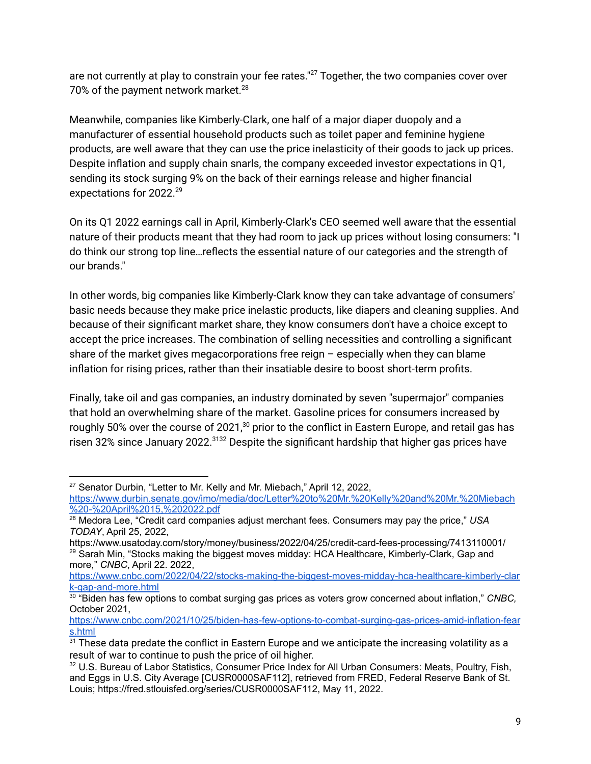are not currently at play to constrain your fee rates."<sup>27</sup> Together, the two companies cover over 70% of the payment network market.<sup>28</sup>

Meanwhile, companies like Kimberly-Clark, one half of a major diaper duopoly and a manufacturer of essential household products such as toilet paper and feminine hygiene products, are well aware that they can use the price inelasticity of their goods to jack up prices. Despite inflation and supply chain snarls, the company exceeded investor expectations in Q1, sending its stock surging 9% on the back of their earnings release and higher financial expectations for 2022. 29

On its Q1 2022 earnings call in April, Kimberly-Clark's CEO seemed well aware that the essential nature of their products meant that they had room to jack up prices without losing consumers: "I do think our strong top line…reflects the essential nature of our categories and the strength of our brands."

In other words, big companies like Kimberly-Clark know they can take advantage of consumers' basic needs because they make price inelastic products, like diapers and cleaning supplies. And because of their significant market share, they know consumers don't have a choice except to accept the price increases. The combination of selling necessities and controlling a significant share of the market gives megacorporations free reign – especially when they can blame inflation for rising prices, rather than their insatiable desire to boost short-term profits.

Finally, take oil and gas companies, an industry dominated by seven "supermajor" companies that hold an overwhelming share of the market. Gasoline prices for consumers increased by roughly 50% over the course of 2021, $^{30}$  prior to the conflict in Eastern Europe, and retail gas has risen 32% since January 2022.<sup>3132</sup> Despite the significant hardship that higher gas prices have

 $27$  Senator Durbin, "Letter to Mr. Kelly and Mr. Miebach," April 12, 2022,

[https://www.durbin.senate.gov/imo/media/doc/Letter%20to%20Mr.%20Kelly%20and%20Mr.%20Miebach](https://www.durbin.senate.gov/imo/media/doc/Letter%20to%20Mr.%20Kelly%20and%20Mr.%20Miebach%20-%20April%2015,%202022.pdf) [%20-%20April%2015,%202022.pdf](https://www.durbin.senate.gov/imo/media/doc/Letter%20to%20Mr.%20Kelly%20and%20Mr.%20Miebach%20-%20April%2015,%202022.pdf)

<sup>28</sup> Medora Lee, "Credit card companies adjust merchant fees. Consumers may pay the price," *USA TODAY*, April 25, 2022,

 $29$  Sarah Min, "Stocks making the biggest moves midday: HCA Healthcare, Kimberly-Clark, Gap and more," *CNBC*, April 22. 2022, https://www.usatoday.com/story/money/business/2022/04/25/credit-card-fees-processing/7413110001/

[https://www.cnbc.com/2022/04/22/stocks-making-the-biggest-moves-midday-hca-healthcare-kimberly-clar](https://www.cnbc.com/2022/04/22/stocks-making-the-biggest-moves-midday-hca-healthcare-kimberly-clark-gap-and-more.html) [k-gap-and-more.html](https://www.cnbc.com/2022/04/22/stocks-making-the-biggest-moves-midday-hca-healthcare-kimberly-clark-gap-and-more.html)

<sup>30</sup> "Biden has few options to combat surging gas prices as voters grow concerned about inflation," *CNBC,* October 2021,

[https://www.cnbc.com/2021/10/25/biden-has-few-options-to-combat-surging-gas-prices-amid-inflation-fear](https://www.cnbc.com/2021/10/25/biden-has-few-options-to-combat-surging-gas-prices-amid-inflation-fears.html) [s.html](https://www.cnbc.com/2021/10/25/biden-has-few-options-to-combat-surging-gas-prices-amid-inflation-fears.html)

<sup>&</sup>lt;sup>31</sup> These data predate the conflict in Eastern Europe and we anticipate the increasing volatility as a result of war to continue to push the price of oil higher.

<sup>32</sup> U.S. Bureau of Labor Statistics, Consumer Price Index for All Urban Consumers: Meats, Poultry, Fish, and Eggs in U.S. City Average [CUSR0000SAF112], retrieved from FRED, Federal Reserve Bank of St. Louis; https://fred.stlouisfed.org/series/CUSR0000SAF112, May 11, 2022.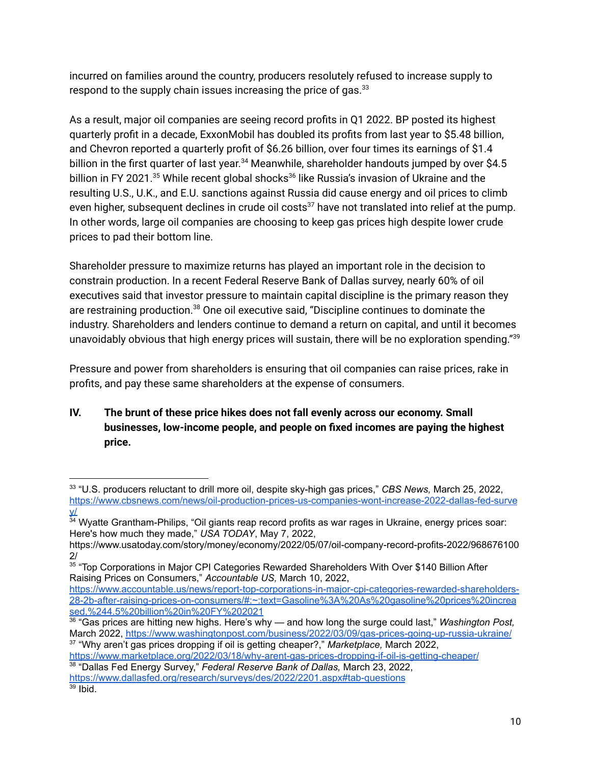incurred on families around the country, producers resolutely refused to increase supply to respond to the supply chain issues increasing the price of gas. $^{33}$ 

As a result, major oil companies are seeing record profits in Q1 2022. BP posted its highest quarterly profit in a decade, ExxonMobil has doubled its profits from last year to \$5.48 billion, and Chevron reported a quarterly profit of \$6.26 billion, over four times its earnings of \$1.4 billion in the first quarter of last year.<sup>34</sup> Meanwhile, shareholder handouts jumped by over \$4.5 billion in FY 2021.<sup>35</sup> While recent global shocks<sup>36</sup> like Russia's invasion of Ukraine and the resulting U.S., U.K., and E.U. sanctions against Russia did cause energy and oil prices to climb even higher, subsequent declines in crude oil costs<sup>37</sup> have not translated into relief at the pump. In other words, large oil companies are choosing to keep gas prices high despite lower crude prices to pad their bottom line.

Shareholder pressure to maximize returns has played an important role in the decision to constrain production. In a recent Federal Reserve Bank of Dallas survey, nearly 60% of oil executives said that investor pressure to maintain capital discipline is the primary reason they are restraining production.<sup>38</sup> One oil executive said, "Discipline continues to dominate the industry. Shareholders and lenders continue to demand a return on capital, and until it becomes unavoidably obvious that high energy prices will sustain, there will be no exploration spending."<sup>39</sup>

Pressure and power from shareholders is ensuring that oil companies can raise prices, rake in profits, and pay these same shareholders at the expense of consumers.

**IV. The brunt of these price hikes does not fall evenly across our economy. Small businesses, low-income people, and people on fixed incomes are paying the highest price.**

38 "Dallas Fed Energy Survey," *Federal Reserve Bank of Dallas,* March 23, 2022, <https://www.marketplace.org/2022/03/18/why-arent-gas-prices-dropping-if-oil-is-getting-cheaper/>

<sup>33</sup> "U.S. producers reluctant to drill more oil, despite sky-high gas prices," *CBS News,* March 25, 2022, [https://www.cbsnews.com/news/oil-production-prices-us-companies-wont-increase-2022-dallas-fed-surve](https://www.cbsnews.com/news/oil-production-prices-us-companies-wont-increase-2022-dallas-fed-survey/) [y/](https://www.cbsnews.com/news/oil-production-prices-us-companies-wont-increase-2022-dallas-fed-survey/)

<sup>&</sup>lt;sup>34</sup> Wyatte Grantham-Philips, "Oil giants reap record profits as war rages in Ukraine, energy prices soar: Here's how much they made," *USA TODAY*, May 7, 2022,

https://www.usatoday.com/story/money/economy/2022/05/07/oil-company-record-profits-2022/968676100 2/

<sup>&</sup>lt;sup>35</sup> "Top Corporations in Major CPI Categories Rewarded Shareholders With Over \$140 Billion After Raising Prices on Consumers," *Accountable US,* March 10, 2022,

[https://www.accountable.us/news/report-top-corporations-in-major-cpi-categories-rewarded-shareholders-](https://www.accountable.us/news/report-top-corporations-in-major-cpi-categories-rewarded-shareholders-28-2b-after-raising-prices-on-consumers/#:~:text=Gasoline%3A%20As%20gasoline%20prices%20increased,%244.5%20billion%20in%20FY%202021)[28-2b-after-raising-prices-on-consumers/#:~:text=Gasoline%3A%20As%20gasoline%20prices%20increa](https://www.accountable.us/news/report-top-corporations-in-major-cpi-categories-rewarded-shareholders-28-2b-after-raising-prices-on-consumers/#:~:text=Gasoline%3A%20As%20gasoline%20prices%20increased,%244.5%20billion%20in%20FY%202021) [sed,%244.5%20billion%20in%20FY%202021](https://www.accountable.us/news/report-top-corporations-in-major-cpi-categories-rewarded-shareholders-28-2b-after-raising-prices-on-consumers/#:~:text=Gasoline%3A%20As%20gasoline%20prices%20increased,%244.5%20billion%20in%20FY%202021)

<sup>37</sup> "Why aren't gas prices dropping if oil is getting cheaper?," *Marketplace,* March 2022, 36 "Gas prices are hitting new highs. Here's why — and how long the surge could last," *Washington Post,* March 2022, <https://www.washingtonpost.com/business/2022/03/09/gas-prices-going-up-russia-ukraine/>

 $39$  Ibid. <https://www.dallasfed.org/research/surveys/des/2022/2201.aspx#tab-questions>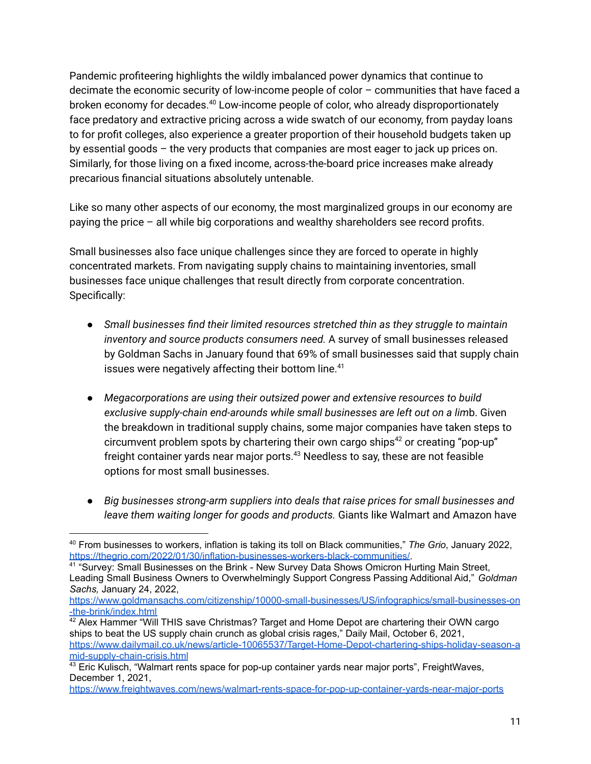Pandemic profiteering highlights the wildly imbalanced power dynamics that continue to decimate the economic security of low-income people of color – communities that have faced a broken economy for decades.<sup>40</sup> Low-income people of color, who already disproportionately face predatory and extractive pricing across a wide swatch of our economy, from payday loans to for profit colleges, also experience a greater proportion of their household budgets taken up by essential goods – the very products that companies are most eager to jack up prices on. Similarly, for those living on a fixed income, across-the-board price increases make already precarious financial situations absolutely untenable.

Like so many other aspects of our economy, the most marginalized groups in our economy are paying the price – all while big corporations and wealthy shareholders see record profits.

Small businesses also face unique challenges since they are forced to operate in highly concentrated markets. From navigating supply chains to maintaining inventories, small businesses face unique challenges that result directly from corporate concentration. Specifically:

- *Small businesses find their limited resources stretched thin as they struggle to maintain inventory and source products consumers need.* A survey of small businesses released by Goldman Sachs in January found that 69% of small businesses said that supply chain issues were negatively affecting their bottom line. 41
- *Megacorporations are using their outsized power and extensive resources to build exclusive supply-chain end-arounds while small businesses are left out on a lim*b. Given the breakdown in traditional supply chains, some major companies have taken steps to circumvent problem spots by chartering their own cargo ships <sup>42</sup> or creating "pop-up" freight container yards near major ports.<sup>43</sup> Needless to say, these are not feasible options for most small businesses.
- *Big businesses strong-arm suppliers into deals that raise prices for small businesses and leave them waiting longer for goods and products.* Giants like Walmart and Amazon have

<sup>40</sup> From businesses to workers, inflation is taking its toll on Black communities," *The Grio*, January 2022, [https://thegrio.com/2022/01/30/inflation-businesses-workers-black-communities/.](https://thegrio.com/2022/01/30/inflation-businesses-workers-black-communities/)

<sup>&</sup>lt;sup>41</sup> "Survey: Small Businesses on the Brink - New Survey Data Shows Omicron Hurting Main Street, Leading Small Business Owners to Overwhelmingly Support Congress Passing Additional Aid," *Goldman Sachs,* January 24, 2022,

[https://www.goldmansachs.com/citizenship/10000-small-businesses/US/infographics/small-businesses-on](https://www.goldmansachs.com/citizenship/10000-small-businesses/US/infographics/small-businesses-on-the-brink/index.html) [-the-brink/index.html](https://www.goldmansachs.com/citizenship/10000-small-businesses/US/infographics/small-businesses-on-the-brink/index.html)

 $42$  Alex Hammer "Will THIS save Christmas? Target and Home Depot are chartering their OWN cargo ships to beat the US supply chain crunch as global crisis rages," Daily Mail, October 6, 2021, [https://www.dailymail.co.uk/news/article-10065537/Target-Home-Depot-chartering-ships-holiday-season-a](https://www.dailymail.co.uk/news/article-10065537/Target-Home-Depot-chartering-ships-holiday-season-amid-supply-chain-crisis.html) [mid-supply-chain-crisis.html](https://www.dailymail.co.uk/news/article-10065537/Target-Home-Depot-chartering-ships-holiday-season-amid-supply-chain-crisis.html)

 $43$  Eric Kulisch, "Walmart rents space for pop-up container yards near major ports", FreightWaves, December 1, 2021,

<https://www.freightwaves.com/news/walmart-rents-space-for-pop-up-container-yards-near-major-ports>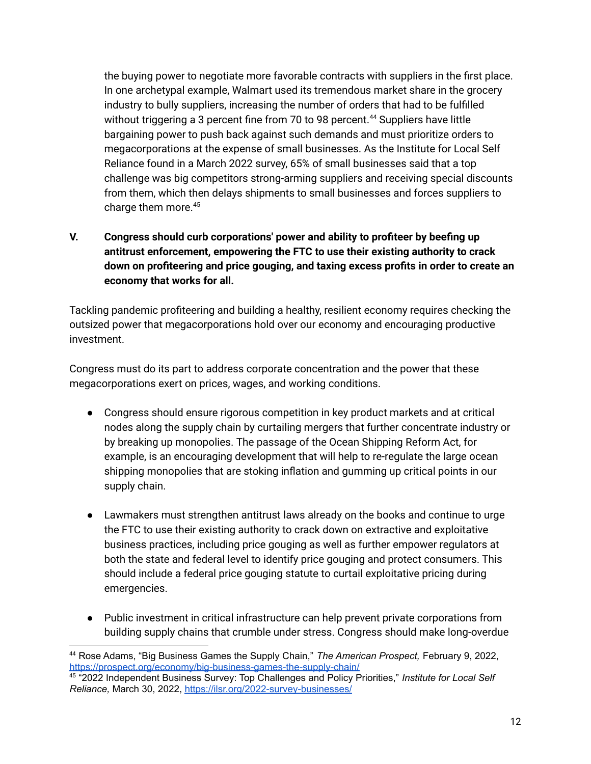the buying power to negotiate more favorable contracts with suppliers in the first place. In one archetypal example, Walmart used its tremendous market share in the grocery industry to bully suppliers, increasing the number of orders that had to be fulfilled without triggering a 3 percent fine from 70 to 98 percent.<sup>44</sup> Suppliers have little bargaining power to push back against such demands and must prioritize orders to megacorporations at the expense of small businesses. As the Institute for Local Self Reliance found in a March 2022 survey, 65% of small businesses said that a top challenge was big competitors strong-arming suppliers and receiving special discounts from them, which then delays shipments to small businesses and forces suppliers to charge them more. 45

### **V. Congress should curb corporations' power and ability to profiteer by beefing up antitrust enforcement, empowering the FTC to use their existing authority to crack down on profiteering and price gouging, and taxing excess profits in order to create an economy that works for all.**

Tackling pandemic profiteering and building a healthy, resilient economy requires checking the outsized power that megacorporations hold over our economy and encouraging productive investment.

Congress must do its part to address corporate concentration and the power that these megacorporations exert on prices, wages, and working conditions.

- Congress should ensure rigorous competition in key product markets and at critical nodes along the supply chain by curtailing mergers that further concentrate industry or by breaking up monopolies. The passage of the Ocean Shipping Reform Act, for example, is an encouraging development that will help to re-regulate the large ocean shipping monopolies that are stoking inflation and gumming up critical points in our supply chain.
- Lawmakers must strengthen antitrust laws already on the books and continue to urge the FTC to use their existing authority to crack down on extractive and exploitative business practices, including price gouging as well as further empower regulators at both the state and federal level to identify price gouging and protect consumers. This should include a federal price gouging statute to curtail exploitative pricing during emergencies.
- Public investment in critical infrastructure can help prevent private corporations from building supply chains that crumble under stress. Congress should make long-overdue

<sup>44</sup> Rose Adams, "Big Business Games the Supply Chain," *The American Prospect,* February 9, 2022, <https://prospect.org/economy/big-business-games-the-supply-chain/>

<sup>45</sup> "2022 Independent Business Survey: Top Challenges and Policy Priorities," *Institute for Local Self Reliance,* March 30, 2022, <https://ilsr.org/2022-survey-businesses/>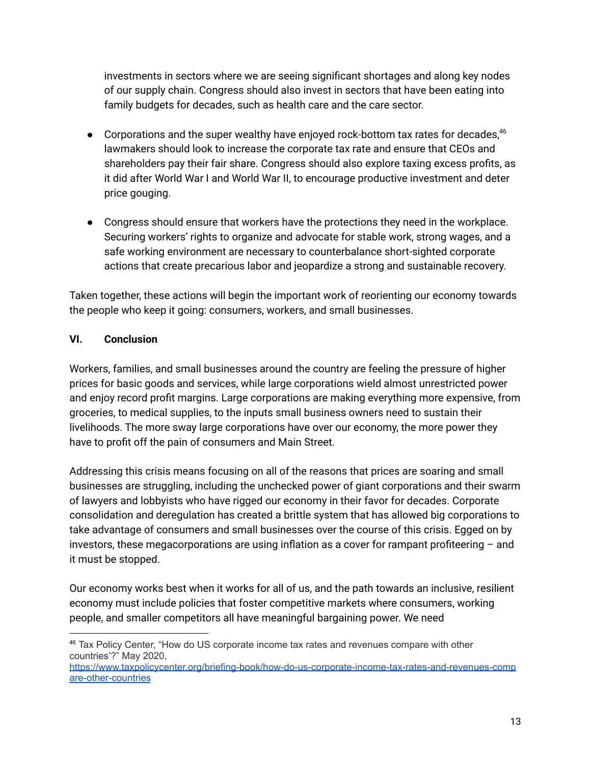investments in sectors where we are seeing significant shortages and along key nodes of our supply chain. Congress should also invest in sectors that have been eating into family budgets for decades, such as health care and the care sector.

- Corporations and the super wealthy have enjoyed rock-bottom tax rates for decades,<sup>46</sup> lawmakers should look to increase the corporate tax rate and ensure that CEOs and shareholders pay their fair share. Congress should also explore taxing excess profits, as it did after World War I and World War II, to encourage productive investment and deter price gouging.
- Congress should ensure that workers have the protections they need in the workplace. Securing workers' rights to organize and advocate for stable work, strong wages, and a safe working environment are necessary to counterbalance short-sighted corporate actions that create precarious labor and jeopardize a strong and sustainable recovery.

Taken together, these actions will begin the important work of reorienting our economy towards the people who keep it going: consumers, workers, and small businesses.

#### **VI. Conclusion**

Workers, families, and small businesses around the country are feeling the pressure of higher prices for basic goods and services, while large corporations wield almost unrestricted power and enjoy record profit margins. Large corporations are making everything more expensive, from groceries, to medical supplies, to the inputs small business owners need to sustain their livelihoods. The more sway large corporations have over our economy, the more power they have to profit off the pain of consumers and Main Street.

Addressing this crisis means focusing on all of the reasons that prices are soaring and small businesses are struggling, including the unchecked power of giant corporations and their swarm of lawyers and lobbyists who have rigged our economy in their favor for decades. Corporate consolidation and deregulation has created a brittle system that has allowed big corporations to take advantage of consumers and small businesses over the course of this crisis. Egged on by investors, these megacorporations are using inflation as a cover for rampant profiteering – and it must be stopped.

Our economy works best when it works for all of us, and the path towards an inclusive, resilient economy must include policies that foster competitive markets where consumers, working people, and smaller competitors all have meaningful bargaining power. We need

<sup>46</sup> Tax Policy Center, "How do US corporate income tax rates and revenues compare with other countries'?" May 2020,

[https://www.taxpolicycenter.org/briefing-book/how-do-us-corporate-income-tax-rates-and-revenues-comp](https://www.taxpolicycenter.org/briefing-book/how-do-us-corporate-income-tax-rates-and-revenues-compare-other-countries) [are-other-countries](https://www.taxpolicycenter.org/briefing-book/how-do-us-corporate-income-tax-rates-and-revenues-compare-other-countries)